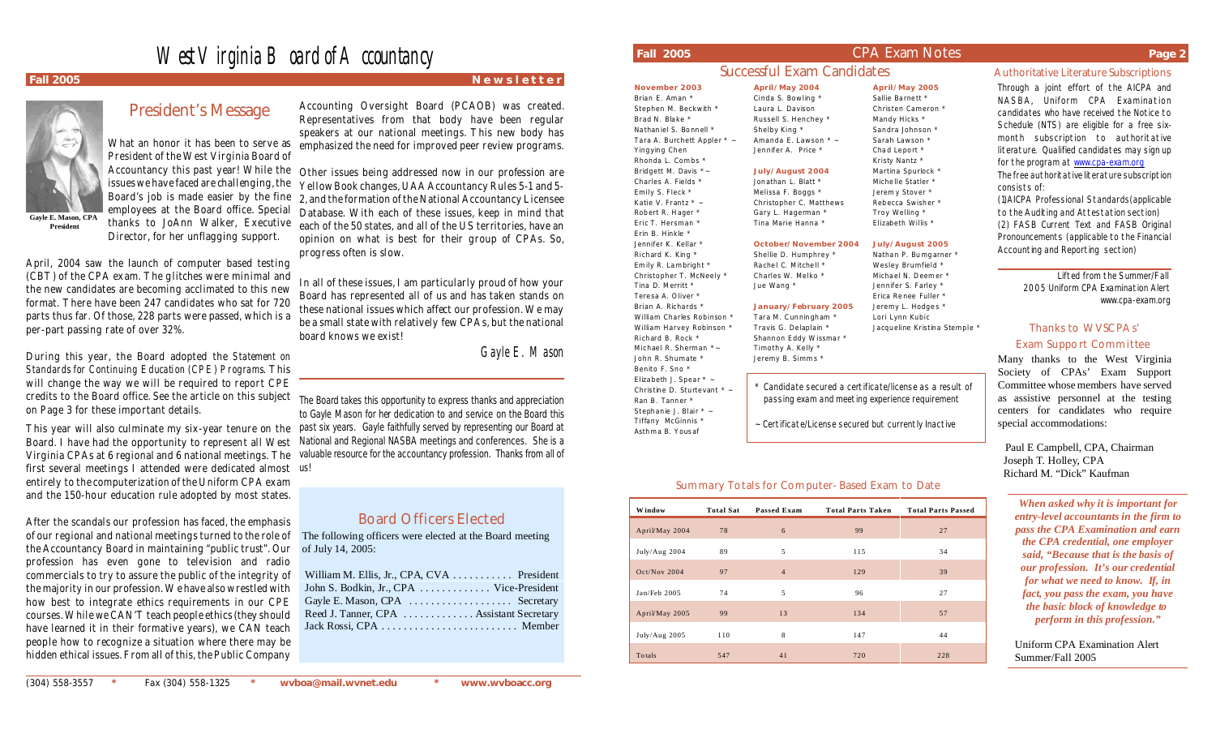# West Virginia Board of Accountancy



**President**

# President's Message

**Gayle E. Mason, CPA**  What an honor it has been to serve as President of the West Virginia Board of issues we have faced are challenging, the employees at the Board office. Special thanks to JoAnn Walker, Executive Director, for her unflagging support.

April, 2004 saw the launch of computer based testing (CBT) of the CPA exam. The glitches were minimal and the new candidates are becoming acclimated to this new format. There have been 247 candidates who sat for 720 parts thus far. Of those, 228 parts were passed, which is a per-part passing rate of over 32%.

During this year, the Board adopted the *Statement on Standards for Continuing Education (CPE) Programs*. This will change the way we will be required to report CPE credits to the Board office. See the article on this subject The Board takes this opportunity to express thanks and appreciation on Page 3 for these important details.

Board. I have had the opportunity to represent all West Virginia CPAs at 6 regional and 6 national meetings. The first several meetings I attended were dedicated almost us! entirely to the computerization of the Uniform CPA exam and the 150-hour education rule adopted by most states.

After the scandals our profession has faced, the emphasis of our regional and national meetings turned to the role of the Accountancy Board in maintaining "public trust". Our profession has even gone to television and radio commercials to try to assure the public of the integrity of the majority in our profession. We have also wrestled with how best to integrate ethics requirements in our CPE courses. While we CAN'T teach people ethics (they should have learned it in their formative years), we CAN teach people how to recognize a situation where there may be hidden ethical issues. From all of this, the Public Company

**Fall 2005** New sletter and the state of the state of the results of the results of the results of the results of the results of the results of the results of the results of the results of the results of the results of the

Accounting Oversight Board (PCAOB) was created. Representatives from that body have been regular speakers at our national meetings. This new body has emphasized the need for improved peer review programs.

Accountancy this past year! While the Other issues being addressed now in our profession are Board's job is made easier by the fine 2, and the formation of the National Accountancy Licensee Yellow Book changes, UAA Accountancy Rules 5-1 and 5- Database. With each of these issues, keep in mind that each of the 50 states, and all of the US territories, have an opinion on what is best for their group of CPAs. So, progress often is slow.

> In all of these issues, I am particularly proud of how your Board has represented all of us and has taken stands on these national issues which affect our profession. We may be a small state with relatively few CPAs, but the national board knows we exist!

> > *Gayle E. Mason*

This year will also culminate my six-year tenure on the past six years. Gayle faithfully served by representing our Board at to Gayle Mason for her dedication to and service on the Board this National and Regional NASBA meetings and conferences. She is a valuable resource for the accountancy profession. Thanks from all of

## Board Officers Elected

 The following officers were elected at the Board meeting of July 14, 2005:

| William M. Ellis, Jr., CPA, CVA  President |  |
|--------------------------------------------|--|
| John S. Bodkin, Jr., CPA  Vice-President   |  |
| Gayle E. Mason, CPA  Secretary             |  |
| Reed J. Tanner, CPA Assistant Secretary    |  |
|                                            |  |
|                                            |  |

### **Fall 2005** CPA Exam Notes **Page 2**

## Successful Exam Candidates **Authoritative Literature Subscriptions April/May 2004**

Cinda S. Bowling \* Laura L. Davison Russell S. Henchey \* Shelby King \* Amanda E. Lawson \* ~ Jennifer A. Price \* **July/August 2004** Jon athan L. Blatt \* Melissa F. Boggs \*

Gary L. Hagerman \* Tina Marie Hanna \*

**October/November 2004** Shellie D. Humphrey \* Rachel C. Mitchell \* Charles W. Melko \* Jue Wang \*

**January/February 2005** Tara M. Cunningham \* Travis G. Delaplain \* Shannon Eddy Wissmar \* Timothy A. Kelly \* Jeremy B. Simms \*

**November 2003** Brian E. Aman \* Stephen M. Beckwith \* Brad N. Blake Na than iel S. Bo nnell \* Tara A. Burchett Appler \* Yingying Chen Rhonda L. Com bs \* Bridgett M. Davis \*~ Charles A. Fields \* Emily S. Fleck \*

Katie V. Frantz \* ~ Rob ert R. Hager \* Eric T. Hersman \* Erin B. Hinkle \* Jennifer K. Kellar<sup>\*</sup> Richard K. King \*

Emily R. Lambright \* Christopher T. McNeely \* Tina D. Merritt \* Tere sa A. O liver \* Brian A. Richards \* William Charles Robinson \* William Harvey Robinson Richard B. Rock \* Michael R. Sherman \*-John R. Shumate \*

Benito F. Sno \* Elizabeth J. Spear \* ~ Christine D. Sturtevant \* Ran B. Tanner \* Stephanie J. Blair \* ~ Tiffany McGinnis \* Asthma B. Yous af

### Summary Totals for Computer-Based Exam to Date

| <b>Window</b>  | <b>Total Sat</b> | Passed Exam    | <b>Total Parts Taken</b> | <b>Total Parts Passed</b> |
|----------------|------------------|----------------|--------------------------|---------------------------|
| April/May 2004 | 78               | 6              | 99                       | 27                        |
| July/Aug 2004  | 89               | 5              | 115                      | 34                        |
| Oct/Nov 2004   | 97               | $\overline{4}$ | 129                      | 39                        |
| Jan/Feb 2005   | 74               | 5              | 96                       | 27                        |
| April/May 2005 | 99               | 13             | 134                      | 57                        |
| July/Aug 2005  | 110              | 8              | 147                      | 44                        |
| Totals         | 547              | 41             | 720                      | 228                       |

Christopher C. Matthews **April/May 2005** Sallie Barnett \* Christen Cameron \* Mandy Hicks \* Sandra Johnson<sup>3</sup> Sarah Lawson \* Cha d Le port \* Kristy Nantz \* Martina Spurlock<sup>\*</sup> Miche lle Statler \* Jerem y Stover \*

Reb ecca Swish er \* Troy Welling \* Elizabeth Willis \*

**July/August 2005** Nathan P. Bumgarner Wesley Brumfield \*

Micha el N. Deem er \* Jennifer S. Farley \* Erica Re nee Fuller \* Jeremy L. Hodges \* Lori Lynn Kubic

Candidate secured a certificate/license as a result of passing exam and meeting experience requirement

~ Certificate/License secured but currently Inactive

Jacqueline Kristina Stemple \*

### Thanks to WVSCPAs' Exam Support Committee

consists of:

Many thanks to the West Virginia Society of CPAs' Exam Support Committee whose members have served as assistive personnel at the testing centers for candidates who require special accommodations:

Through a joint effort of the AICPA and NASBA, Uniform CPA Examination candidates who have received the Notice to Schedule (NTS) are eligible for a free sixmonth subscription to authoritative literature. Qualified candidates may sign up for the program at www.cpa-exam.org The free authoritative literature subscription

(1)AICPA Professional Standards(applicable to the Auditing and Attestation section) (2) FASB Current Text and FASB Original Pronouncements (applicable to the Financial Accounting and Reporting section)

> Lifted from the Summer/Fall 2005 Uniform CPA Examination Alert

> > www.cpa-exam.org

 Paul E Campbell, CPA, Chairman Joseph T. Holley, CPA Richard M. "Dick" Kaufman

*When asked why it is important for entry-level accountants in the firm to pass the CPA Examination and earn the CPA credential, one employer said, "Because that is the basis of our profession. It's our credential for what we need to know. If, in fact, you pass the exam, you have the basic block of knowledge to perform in this profession."*

Uniform CPA Examination Alert Summer/Fall 2005